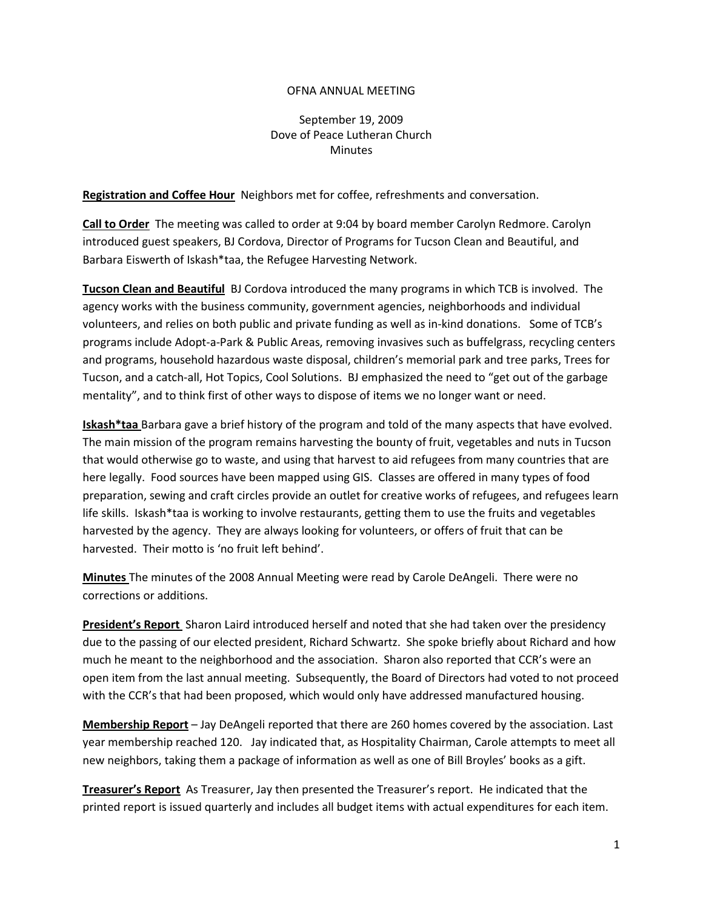## OFNA ANNUAL MEETING

## September 19, 2009 Dove of Peace Lutheran Church **Minutes**

**Registration and Coffee Hour** Neighbors met for coffee, refreshments and conversation.

**Call to Order** The meeting was called to order at 9:04 by board member Carolyn Redmore. Carolyn introduced guest speakers, BJ Cordova, Director of Programs for Tucson Clean and Beautiful, and Barbara Eiswerth of Iskash\*taa, the Refugee Harvesting Network.

**Tucson Clean and Beautiful** BJ Cordova introduced the many programs in which TCB is involved. The agency works with the business community, government agencies, neighborhoods and individual volunteers, and relies on both public and private funding as well as in-kind donations. Some of TCB's programs include Adopt-a-Park & Public Areas, removing invasives such as buffelgrass, recycling centers and programs, household hazardous waste disposal, children's memorial park and tree parks, Trees for Tucson, and a catch-all, Hot Topics, Cool Solutions. BJ emphasized the need to "get out of the garbage mentality", and to think first of other ways to dispose of items we no longer want or need.

**Iskash\*taa** Barbara gave a brief history of the program and told of the many aspects that have evolved. The main mission of the program remains harvesting the bounty of fruit, vegetables and nuts in Tucson that would otherwise go to waste, and using that harvest to aid refugees from many countries that are here legally. Food sources have been mapped using GIS. Classes are offered in many types of food preparation, sewing and craft circles provide an outlet for creative works of refugees, and refugees learn life skills. Iskash\*taa is working to involve restaurants, getting them to use the fruits and vegetables harvested by the agency. They are always looking for volunteers, or offers of fruit that can be harvested. Their motto is 'no fruit left behind'.

**Minutes** The minutes of the 2008 Annual Meeting were read by Carole DeAngeli. There were no corrections or additions.

**President's Report** Sharon Laird introduced herself and noted that she had taken over the presidency due to the passing of our elected president, Richard Schwartz. She spoke briefly about Richard and how much he meant to the neighborhood and the association. Sharon also reported that CCR's were an open item from the last annual meeting. Subsequently, the Board of Directors had voted to not proceed with the CCR's that had been proposed, which would only have addressed manufactured housing.

**Membership Report** – Jay DeAngeli reported that there are 260 homes covered by the association. Last year membership reached 120. Jay indicated that, as Hospitality Chairman, Carole attempts to meet all new neighbors, taking them a package of information as well as one of Bill Broyles' books as a gift.

**Treasurer's Report** As Treasurer, Jay then presented the Treasurer's report. He indicated that the printed report is issued quarterly and includes all budget items with actual expenditures for each item.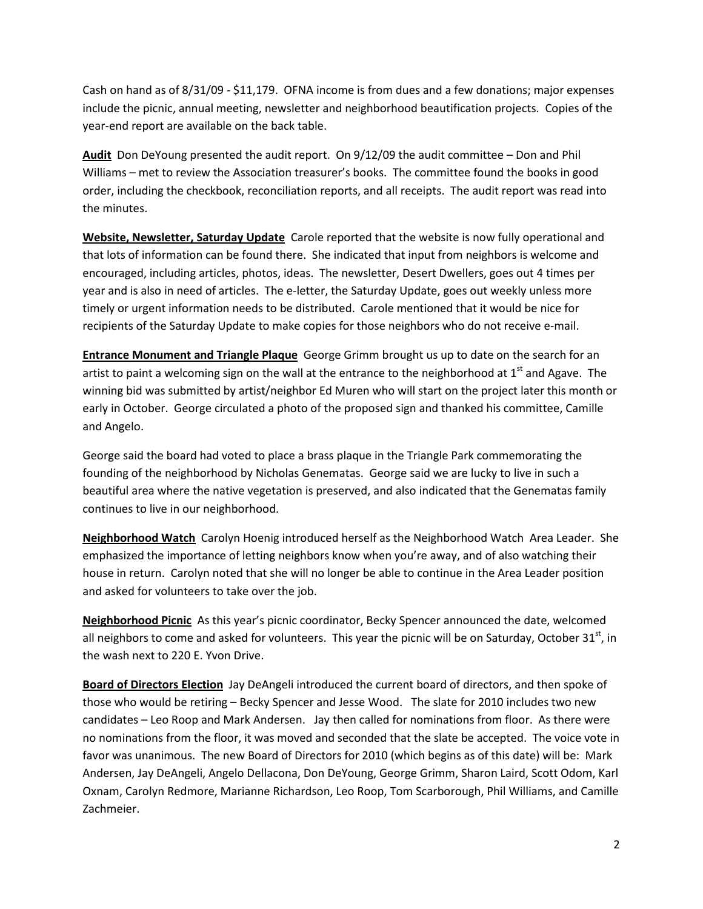Cash on hand as of 8/31/09 - \$11,179. OFNA income is from dues and a few donations; major expenses include the picnic, annual meeting, newsletter and neighborhood beautification projects. Copies of the year-end report are available on the back table.

**Audit** Don DeYoung presented the audit report. On 9/12/09 the audit committee – Don and Phil Williams – met to review the Association treasurer's books. The committee found the books in good order, including the checkbook, reconciliation reports, and all receipts. The audit report was read into the minutes.

**Website, Newsletter, Saturday Update** Carole reported that the website is now fully operational and that lots of information can be found there. She indicated that input from neighbors is welcome and encouraged, including articles, photos, ideas. The newsletter, Desert Dwellers, goes out 4 times per year and is also in need of articles. The e-letter, the Saturday Update, goes out weekly unless more timely or urgent information needs to be distributed. Carole mentioned that it would be nice for recipients of the Saturday Update to make copies for those neighbors who do not receive e-mail.

**Entrance Monument and Triangle Plaque** George Grimm brought us up to date on the search for an artist to paint a welcoming sign on the wall at the entrance to the neighborhood at 1<sup>st</sup> and Agave. The winning bid was submitted by artist/neighbor Ed Muren who will start on the project later this month or early in October. George circulated a photo of the proposed sign and thanked his committee, Camille and Angelo.

George said the board had voted to place a brass plaque in the Triangle Park commemorating the founding of the neighborhood by Nicholas Genematas. George said we are lucky to live in such a beautiful area where the native vegetation is preserved, and also indicated that the Genematas family continues to live in our neighborhood.

**Neighborhood Watch** Carolyn Hoenig introduced herself as the Neighborhood Watch Area Leader. She emphasized the importance of letting neighbors know when you're away, and of also watching their house in return. Carolyn noted that she will no longer be able to continue in the Area Leader position and asked for volunteers to take over the job.

**Neighborhood Picnic** As this year's picnic coordinator, Becky Spencer announced the date, welcomed all neighbors to come and asked for volunteers. This year the picnic will be on Saturday, October  $31<sup>st</sup>$ , in the wash next to 220 E. Yvon Drive.

**Board of Directors Election** Jay DeAngeli introduced the current board of directors, and then spoke of those who would be retiring – Becky Spencer and Jesse Wood. The slate for 2010 includes two new candidates – Leo Roop and Mark Andersen. Jay then called for nominations from floor. As there were no nominations from the floor, it was moved and seconded that the slate be accepted. The voice vote in favor was unanimous. The new Board of Directors for 2010 (which begins as of this date) will be: Mark Andersen, Jay DeAngeli, Angelo Dellacona, Don DeYoung, George Grimm, Sharon Laird, Scott Odom, Karl Oxnam, Carolyn Redmore, Marianne Richardson, Leo Roop, Tom Scarborough, Phil Williams, and Camille Zachmeier.